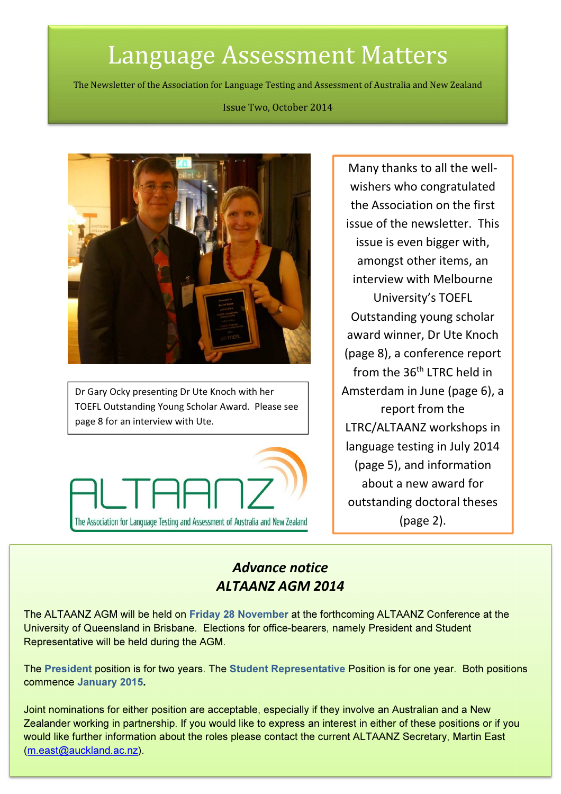# Language Assessment Matters

The Newsletter of the Association for Language Testing and Assessment of Australia and New Zealand

#### Issue Two, October 2014



Dr Gary Ocky presenting Dr Ute Knoch with her TOEFL Outstanding Young Scholar Award. Please see page 8 for an interview with Ute.



Many thanks to all the wellwishers who congratulated the Association on the first issue of the newsletter. This issue is even bigger with, amongst other items, an interview with Melbourne University's TOEFL Outstanding young scholar award winner, Dr Ute Knoch (page 8), a conference report from the 36<sup>th</sup> LTRC held in Amsterdam in June (page 6), a report from the LTRC/ALTAANZ workshops in language testing in July 2014 (page 5), and information about a new award for outstanding doctoral theses (page 2).

# Advance notice ALTAANZ AGM 2014

The ALTAANZ AGM will be held on Friday 28 November at the forthcoming ALTAANZ Conference at the University of Queensland in Brisbane. Elections for office-bearers, namely President and Student Representative will be held during the AGM.

The President position is for two years. The Student Representative Position is for one year. Both positions commence January 2015.

would like further information about the roles please contact the current ALTAANZ Secretary, Martin East Joint nominations for either position are acceptable, especially if they involve an Australian and a New Zealander working in partnership. If you would like to express an interest in either of these positions or if you (m.east@auckland.ac.nz).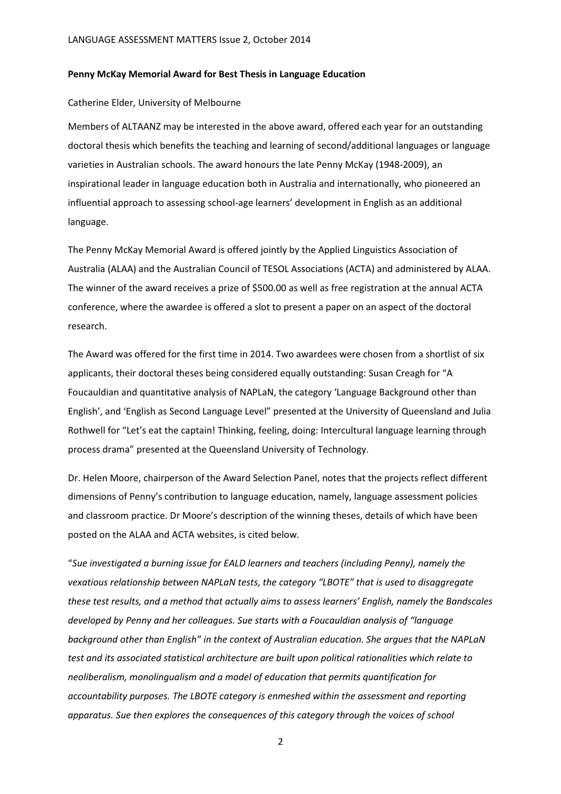#### Penny McKay Memorial Award for Best Thesis in Language Education

#### Catherine Elder, University of Melbourne

Members of ALTAANZ may be interested in the above award, offered each year for an outstanding doctoral thesis which benefits the teaching and learning of second/additional languages or language varieties in Australian schools. The award honours the late Penny McKay (1948-2009), an inspirational leader in language education both in Australia and internationally, who pioneered an influential approach to assessing school-age learners' development in English as an additional language.

The Penny McKay Memorial Award is offered jointly by the Applied Linguistics Association of Australia (ALAA) and the Australian Council of TESOL Associations (ACTA) and administered by ALAA. The winner of the award receives a prize of \$500.00 as well as free registration at the annual ACTA conference, where the awardee is offered a slot to present a paper on an aspect of the doctoral research.

The Award was offered for the first time in 2014. Two awardees were chosen from a shortlist of six applicants, their doctoral theses being considered equally outstanding: Susan Creagh for "A Foucauldian and quantitative analysis of NAPLaN, the category 'Language Background other than English', and 'English as Second Language Level" presented at the University of Queensland and Julia Rothwell for "Let's eat the captain! Thinking, feeling, doing: Intercultural language learning through process drama" presented at the Queensland University of Technology.

Dr. Helen Moore, chairperson of the Award Selection Panel, notes that the projects reflect different dimensions of Penny's contribution to language education, namely, language assessment policies and classroom practice. Dr Moore's description of the winning theses, details of which have been posted on the ALAA and ACTA websites, is cited below.

"Sue investigated a burning issue for EALD learners and teachers (including Penny), namely the vexatious relationship between NAPLaN tests, the category "LBOTE" that is used to disaggregate these test results, and a method that actually aims to assess learners' English, namely the Bandscales developed by Penny and her colleagues. Sue starts with a Foucauldian analysis of "language background other than English" in the context of Australian education. She argues that the NAPLaN test and its associated statistical architecture are built upon political rationalities which relate to neoliberalism, monolingualism and a model of education that permits quantification for accountability purposes. The LBOTE category is enmeshed within the assessment and reporting apparatus. Sue then explores the consequences of this category through the voices of school

2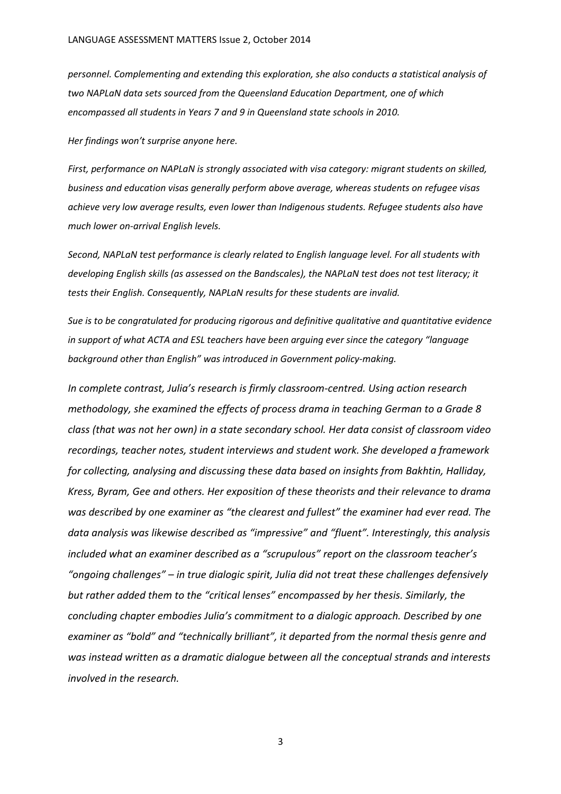personnel. Complementing and extending this exploration, she also conducts a statistical analysis of two NAPLaN data sets sourced from the Queensland Education Department, one of which encompassed all students in Years 7 and 9 in Queensland state schools in 2010.

Her findings won't surprise anyone here.

First, performance on NAPLaN is strongly associated with visa category: migrant students on skilled, business and education visas generally perform above average, whereas students on refugee visas achieve very low average results, even lower than Indigenous students. Refugee students also have much lower on-arrival English levels.

Second, NAPLaN test performance is clearly related to English language level. For all students with developing English skills (as assessed on the Bandscales), the NAPLaN test does not test literacy; it tests their English. Consequently, NAPLaN results for these students are invalid.

Sue is to be congratulated for producing rigorous and definitive qualitative and quantitative evidence in support of what ACTA and ESL teachers have been arguing ever since the category "language background other than English" was introduced in Government policy-making.

In complete contrast, Julia's research is firmly classroom-centred. Using action research methodology, she examined the effects of process drama in teaching German to a Grade 8 class (that was not her own) in a state secondary school. Her data consist of classroom video recordings, teacher notes, student interviews and student work. She developed a framework for collecting, analysing and discussing these data based on insights from Bakhtin, Halliday, Kress, Byram, Gee and others. Her exposition of these theorists and their relevance to drama was described by one examiner as "the clearest and fullest" the examiner had ever read. The data analysis was likewise described as "impressive" and "fluent". Interestingly, this analysis included what an examiner described as a "scrupulous" report on the classroom teacher's "ongoing challenges" – in true dialogic spirit, Julia did not treat these challenges defensively but rather added them to the "critical lenses" encompassed by her thesis. Similarly, the concluding chapter embodies Julia's commitment to a dialogic approach. Described by one examiner as "bold" and "technically brilliant", it departed from the normal thesis genre and was instead written as a dramatic dialogue between all the conceptual strands and interests involved in the research.

3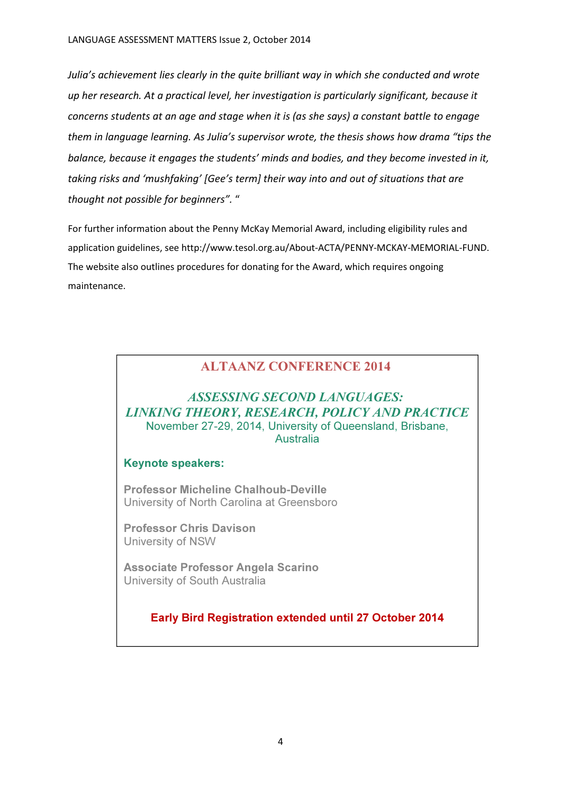Julia's achievement lies clearly in the quite brilliant way in which she conducted and wrote up her research. At a practical level, her investigation is particularly significant, because it concerns students at an age and stage when it is (as she says) a constant battle to engage them in language learning. As Julia's supervisor wrote, the thesis shows how drama "tips the balance, because it engages the students' minds and bodies, and they become invested in it, taking risks and 'mushfaking' [Gee's term] their way into and out of situations that are thought not possible for beginners". "

For further information about the Penny McKay Memorial Award, including eligibility rules and application guidelines, see http://www.tesol.org.au/About-ACTA/PENNY-MCKAY-MEMORIAL-FUND. The website also outlines procedures for donating for the Award, which requires ongoing maintenance.

## ALTAANZ CONFERENCE 2014

### ASSESSING SECOND LANGUAGES: LINKING THEORY, RESEARCH, POLICY AND PRACTICE November 27-29, 2014, University of Queensland, Brisbane, **Australia**

#### Keynote speakers:

Professor Micheline Chalhoub-Deville University of North Carolina at Greensboro

Professor Chris Davison University of NSW

Associate Professor Angela Scarino University of South Australia

## Early Bird Registration extended until 27 October 2014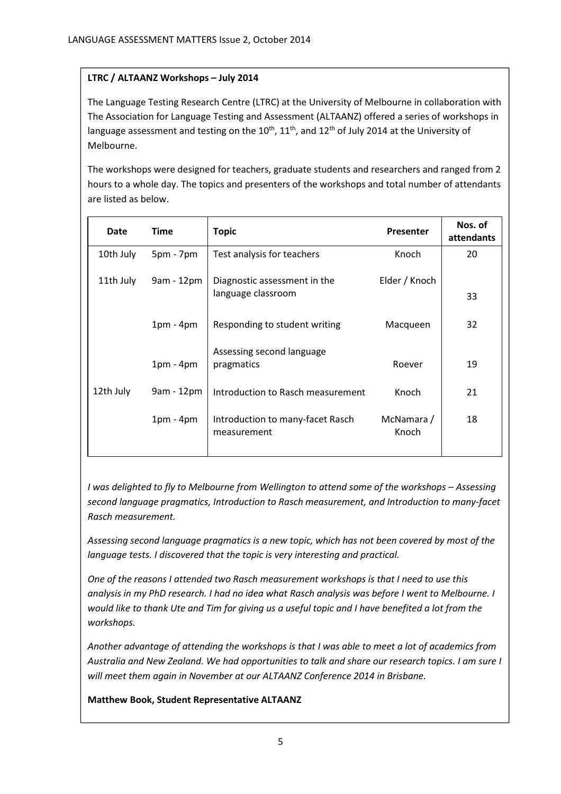#### LTRC / ALTAANZ Workshops – July 2014

The Language Testing Research Centre (LTRC) at the University of Melbourne in collaboration with The Association for Language Testing and Assessment (ALTAANZ) offered a series of workshops in language assessment and testing on the  $10^{th}$ ,  $11^{th}$ , and  $12^{th}$  of July 2014 at the University of Melbourne.

The workshops were designed for teachers, graduate students and researchers and ranged from 2 hours to a whole day. The topics and presenters of the workshops and total number of attendants are listed as below.

| <b>Date</b> | <b>Time</b> | <b>Topic</b>                                       | <b>Presenter</b>    | Nos. of<br>attendants |
|-------------|-------------|----------------------------------------------------|---------------------|-----------------------|
| 10th July   | $5pm - 7pm$ | Test analysis for teachers                         | Knoch               | 20                    |
| 11th July   | 9am - 12pm  | Diagnostic assessment in the<br>language classroom | Elder / Knoch       | 33                    |
|             | $1pm - 4pm$ | Responding to student writing                      | Macqueen            | 32                    |
|             | $1pm - 4pm$ | Assessing second language<br>pragmatics            | Roever              | 19                    |
| 12th July   | 9am - 12pm  | Introduction to Rasch measurement                  | Knoch               | 21                    |
|             | $1pm - 4pm$ | Introduction to many-facet Rasch<br>measurement    | McNamara /<br>Knoch | 18                    |

I was delighted to fly to Melbourne from Wellington to attend some of the workshops – Assessing second language pragmatics, Introduction to Rasch measurement, and Introduction to many-facet Rasch measurement.

Assessing second language pragmatics is a new topic, which has not been covered by most of the language tests. I discovered that the topic is very interesting and practical.

One of the reasons I attended two Rasch measurement workshops is that I need to use this analysis in my PhD research. I had no idea what Rasch analysis was before I went to Melbourne. I would like to thank Ute and Tim for giving us a useful topic and I have benefited a lot from the workshops.

Another advantage of attending the workshops is that I was able to meet a lot of academics from Australia and New Zealand. We had opportunities to talk and share our research topics. I am sure I will meet them again in November at our ALTAANZ Conference 2014 in Brisbane.

Matthew Book, Student Representative ALTAANZ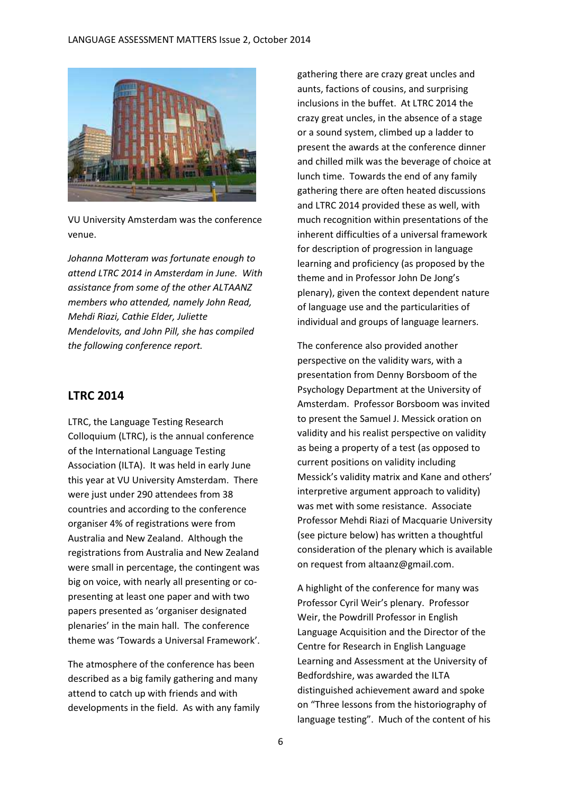

VU University Amsterdam was the conference venue.

Johanna Motteram was fortunate enough to attend LTRC 2014 in Amsterdam in June. With assistance from some of the other ALTAANZ members who attended, namely John Read, Mehdi Riazi, Cathie Elder, Juliette Mendelovits, and John Pill, she has compiled the following conference report.

#### LTRC 2014

LTRC, the Language Testing Research Colloquium (LTRC), is the annual conference of the International Language Testing Association (ILTA). It was held in early June this year at VU University Amsterdam. There were just under 290 attendees from 38 countries and according to the conference organiser 4% of registrations were from Australia and New Zealand. Although the registrations from Australia and New Zealand were small in percentage, the contingent was big on voice, with nearly all presenting or copresenting at least one paper and with two papers presented as 'organiser designated plenaries' in the main hall. The conference theme was 'Towards a Universal Framework'.

The atmosphere of the conference has been described as a big family gathering and many attend to catch up with friends and with developments in the field. As with any family

gathering there are crazy great uncles and aunts, factions of cousins, and surprising inclusions in the buffet. At LTRC 2014 the crazy great uncles, in the absence of a stage or a sound system, climbed up a ladder to present the awards at the conference dinner and chilled milk was the beverage of choice at lunch time. Towards the end of any family gathering there are often heated discussions and LTRC 2014 provided these as well, with much recognition within presentations of the inherent difficulties of a universal framework for description of progression in language learning and proficiency (as proposed by the theme and in Professor John De Jong's plenary), given the context dependent nature of language use and the particularities of individual and groups of language learners.

The conference also provided another perspective on the validity wars, with a presentation from Denny Borsboom of the Psychology Department at the University of Amsterdam. Professor Borsboom was invited to present the Samuel J. Messick oration on validity and his realist perspective on validity as being a property of a test (as opposed to current positions on validity including Messick's validity matrix and Kane and others' interpretive argument approach to validity) was met with some resistance. Associate Professor Mehdi Riazi of Macquarie University (see picture below) has written a thoughtful consideration of the plenary which is available on request from altaanz@gmail.com.

A highlight of the conference for many was Professor Cyril Weir's plenary. Professor Weir, the Powdrill Professor in English Language Acquisition and the Director of the Centre for Research in English Language Learning and Assessment at the University of Bedfordshire, was awarded the ILTA distinguished achievement award and spoke on "Three lessons from the historiography of language testing". Much of the content of his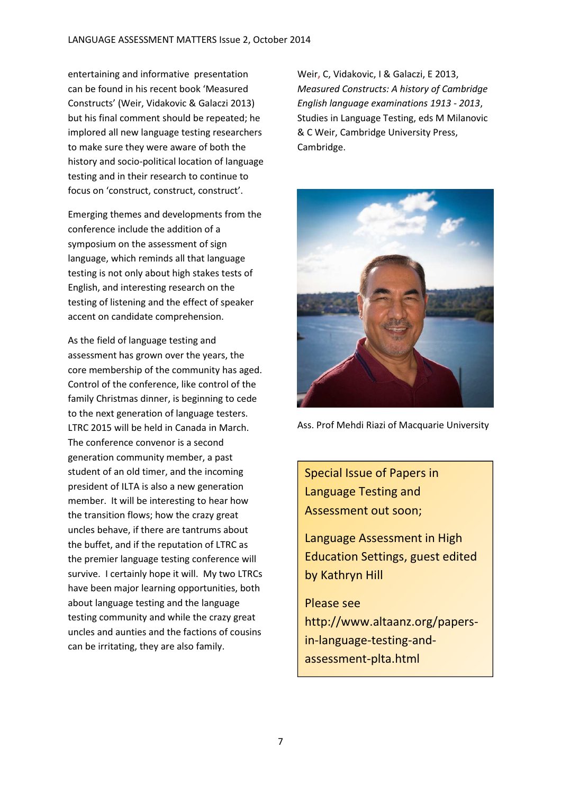entertaining and informative presentation can be found in his recent book 'Measured Constructs' (Weir, Vidakovic & Galaczi 2013) but his final comment should be repeated; he implored all new language testing researchers to make sure they were aware of both the history and socio-political location of language testing and in their research to continue to focus on 'construct, construct, construct'.

Emerging themes and developments from the conference include the addition of a symposium on the assessment of sign language, which reminds all that language testing is not only about high stakes tests of English, and interesting research on the testing of listening and the effect of speaker accent on candidate comprehension.

As the field of language testing and assessment has grown over the years, the core membership of the community has aged. Control of the conference, like control of the family Christmas dinner, is beginning to cede to the next generation of language testers. LTRC 2015 will be held in Canada in March. The conference convenor is a second generation community member, a past student of an old timer, and the incoming president of ILTA is also a new generation member. It will be interesting to hear how the transition flows; how the crazy great uncles behave, if there are tantrums about the buffet, and if the reputation of LTRC as the premier language testing conference will survive. I certainly hope it will. My two LTRCs have been major learning opportunities, both about language testing and the language testing community and while the crazy great uncles and aunties and the factions of cousins can be irritating, they are also family.

Weir, C, Vidakovic, I & Galaczi, E 2013, Measured Constructs: A history of Cambridge English language examinations 1913 - 2013, Studies in Language Testing, eds M Milanovic & C Weir, Cambridge University Press, Cambridge.



Ass. Prof Mehdi Riazi of Macquarie University

Special Issue of Papers in Language Testing and Assessment out soon;

Language Assessment in High Education Settings, guest edited by Kathryn Hill

Please see http://www.altaanz.org/papersin-language-testing-andassessment-plta.html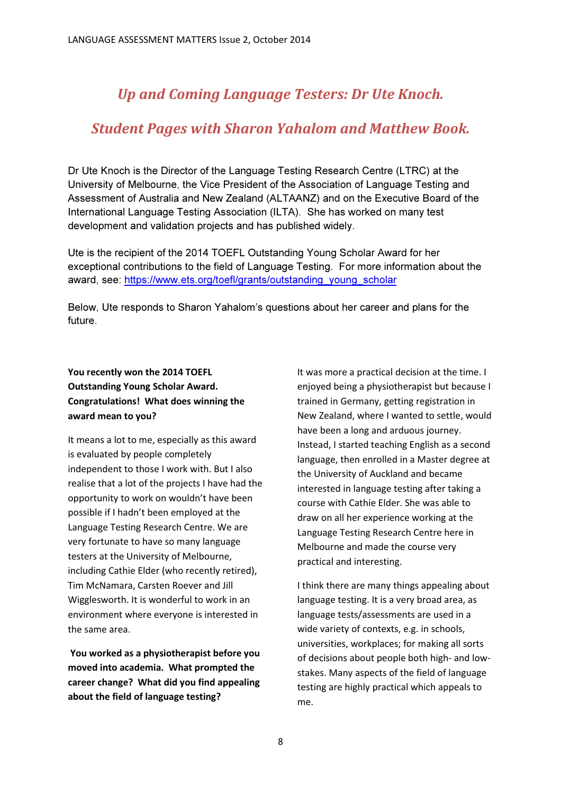# Up and Coming Language Testers: Dr Ute Knoch.

## Student Pages with Sharon Yahalom and Matthew Book.

Dr Ute Knoch is the Director of the Language Testing Research Centre (LTRC) at the University of Melbourne, the Vice President of the Association of Language Testing and Assessment of Australia and New Zealand (ALTAANZ) and on the Executive Board of the International Language Testing Association (ILTA). She has worked on many test development and validation projects and has published widely.

Ute is the recipient of the 2014 TOEFL Outstanding Young Scholar Award for her exceptional contributions to the field of Language Testing. For more information about the award, see: https://www.ets.org/toefl/grants/outstanding\_young\_scholar

Below, Ute responds to Sharon Yahalom's questions about her career and plans for the future.

### You recently won the 2014 TOEFL Outstanding Young Scholar Award. Congratulations! What does winning the award mean to you?

It means a lot to me, especially as this award is evaluated by people completely independent to those I work with. But I also realise that a lot of the projects I have had the opportunity to work on wouldn't have been possible if I hadn't been employed at the Language Testing Research Centre. We are very fortunate to have so many language testers at the University of Melbourne, including Cathie Elder (who recently retired), Tim McNamara, Carsten Roever and Jill Wigglesworth. It is wonderful to work in an environment where everyone is interested in the same area.

 You worked as a physiotherapist before you moved into academia. What prompted the career change? What did you find appealing about the field of language testing?

It was more a practical decision at the time. I enjoyed being a physiotherapist but because I trained in Germany, getting registration in New Zealand, where I wanted to settle, would have been a long and arduous journey. Instead, I started teaching English as a second language, then enrolled in a Master degree at the University of Auckland and became interested in language testing after taking a course with Cathie Elder. She was able to draw on all her experience working at the Language Testing Research Centre here in Melbourne and made the course very practical and interesting.

I think there are many things appealing about language testing. It is a very broad area, as language tests/assessments are used in a wide variety of contexts, e.g. in schools, universities, workplaces; for making all sorts of decisions about people both high- and lowstakes. Many aspects of the field of language testing are highly practical which appeals to me.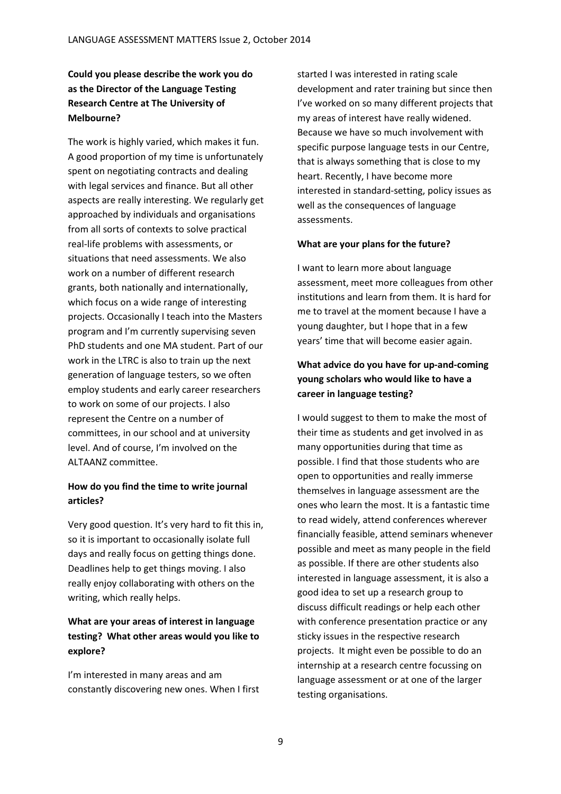## Could you please describe the work you do as the Director of the Language Testing Research Centre at The University of Melbourne?

The work is highly varied, which makes it fun. A good proportion of my time is unfortunately spent on negotiating contracts and dealing with legal services and finance. But all other aspects are really interesting. We regularly get approached by individuals and organisations from all sorts of contexts to solve practical real-life problems with assessments, or situations that need assessments. We also work on a number of different research grants, both nationally and internationally, which focus on a wide range of interesting projects. Occasionally I teach into the Masters program and I'm currently supervising seven PhD students and one MA student. Part of our work in the LTRC is also to train up the next generation of language testers, so we often employ students and early career researchers to work on some of our projects. I also represent the Centre on a number of committees, in our school and at university level. And of course, I'm involved on the ALTAANZ committee.

#### How do you find the time to write journal articles?

Very good question. It's very hard to fit this in, so it is important to occasionally isolate full days and really focus on getting things done. Deadlines help to get things moving. I also really enjoy collaborating with others on the writing, which really helps.

#### What are your areas of interest in language testing? What other areas would you like to explore?

I'm interested in many areas and am constantly discovering new ones. When I first started I was interested in rating scale development and rater training but since then I've worked on so many different projects that my areas of interest have really widened. Because we have so much involvement with specific purpose language tests in our Centre, that is always something that is close to my heart. Recently, I have become more interested in standard-setting, policy issues as well as the consequences of language assessments.

#### What are your plans for the future?

I want to learn more about language assessment, meet more colleagues from other institutions and learn from them. It is hard for me to travel at the moment because I have a young daughter, but I hope that in a few years' time that will become easier again.

### What advice do you have for up-and-coming young scholars who would like to have a career in language testing?

I would suggest to them to make the most of their time as students and get involved in as many opportunities during that time as possible. I find that those students who are open to opportunities and really immerse themselves in language assessment are the ones who learn the most. It is a fantastic time to read widely, attend conferences wherever financially feasible, attend seminars whenever possible and meet as many people in the field as possible. If there are other students also interested in language assessment, it is also a good idea to set up a research group to discuss difficult readings or help each other with conference presentation practice or any sticky issues in the respective research projects. It might even be possible to do an internship at a research centre focussing on language assessment or at one of the larger testing organisations.